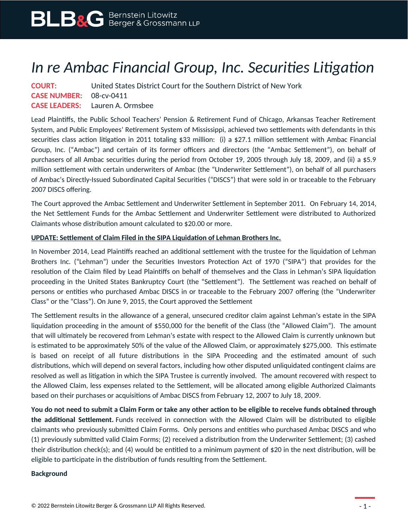## *In re Ambac Financial Group, Inc. Securities Litigation*

| <b>COURT:</b>                  | United States District Court for the Southern District of New York |
|--------------------------------|--------------------------------------------------------------------|
| <b>CASE NUMBER: 08-cv-0411</b> |                                                                    |
|                                | <b>CASE LEADERS:</b> Lauren A. Ormsbee                             |

Lead Plaintiffs, the Public School Teachers' Pension & Retirement Fund of Chicago, Arkansas Teacher Retirement System, and Public Employees' Retirement System of Mississippi, achieved two settlements with defendants in this securities class action litigation in 2011 totaling \$33 million: (i) a \$27.1 million settlement with Ambac Financial Group, Inc. ("Ambac") and certain of its former officers and directors (the "Ambac Settlement"), on behalf of purchasers of all Ambac securities during the period from October 19, 2005 through July 18, 2009, and (ii) a \$5.9 million settlement with certain underwriters of Ambac (the "Underwriter Settlement"), on behalf of all purchasers of Ambac's Directly-Issued Subordinated Capital Securities ("DISCS") that were sold in or traceable to the February 2007 DISCS offering.

The Court approved the Ambac Settlement and Underwriter Settlement in September 2011. On February 14, 2014, the Net Settlement Funds for the Ambac Settlement and Underwriter Settlement were distributed to Authorized Claimants whose distribution amount calculated to \$20.00 or more.

## **UPDATE: Settlement of Claim Filed in the SIPA Liquidation of Lehman Brothers Inc.**

In November 2014, Lead Plaintiffs reached an additional settlement with the trustee for the liquidation of Lehman Brothers Inc. ("Lehman") under the Securities Investors Protection Act of 1970 ("SIPA") that provides for the resolution of the Claim filed by Lead Plaintiffs on behalf of themselves and the Class in Lehman's SIPA liquidation proceeding in the United States Bankruptcy Court (the "Settlement"). The Settlement was reached on behalf of persons or entities who purchased Ambac DISCS in or traceable to the February 2007 offering (the "Underwriter Class" or the "Class"). On June 9, 2015, the Court approved the Settlement

The Settlement results in the allowance of a general, unsecured creditor claim against Lehman's estate in the SIPA liquidation proceeding in the amount of \$550,000 for the benefit of the Class (the "Allowed Claim"). The amount that will ultimately be recovered from Lehman's estate with respect to the Allowed Claim is currently unknown but is estimated to be approximately 50% of the value of the Allowed Claim, or approximately \$275,000. This estimate is based on receipt of all future distributions in the SIPA Proceeding and the estimated amount of such distributions, which will depend on several factors, including how other disputed unliquidated contingent claims are resolved as well as litigation in which the SIPA Trustee is currently involved. The amount recovered with respect to the Allowed Claim, less expenses related to the Settlement, will be allocated among eligible Authorized Claimants based on their purchases or acquisitions of Ambac DISCS from February 12, 2007 to July 18, 2009.

**You do not need to submit a Claim Form or take any other action to be eligible to receive funds obtained through the additional Settlement.** Funds received in connection with the Allowed Claim will be distributed to eligible claimants who previously submitted Claim Forms. Only persons and entities who purchased Ambac DISCS and who (1) previously submitted valid Claim Forms; (2) received a distribution from the Underwriter Settlement; (3) cashed their distribution check(s); and (4) would be entitled to a minimum payment of \$20 in the next distribution, will be eligible to participate in the distribution of funds resulting from the Settlement.

## **Background**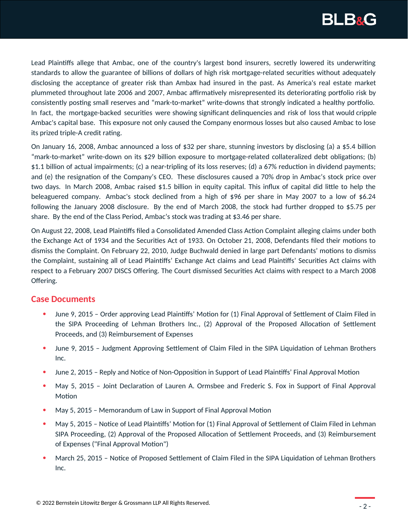

Lead Plaintiffs allege that Ambac, one of the country's largest bond insurers, secretly lowered its underwriting standards to allow the guarantee of billions of dollars of high risk mortgage-related securities without adequately disclosing the acceptance of greater risk than Ambax had insured in the past. As America's real estate market plummeted throughout late 2006 and 2007, Ambac affirmatively misrepresented its deteriorating portfolio risk by consistently posting small reserves and "mark-to-market" write-downs that strongly indicated a healthy portfolio. In fact, the mortgage-backed securities were showing significant delinquencies and risk of loss that would cripple Ambac's capital base. This exposure not only caused the Company enormous losses but also caused Ambac to lose its prized triple-A credit rating.

On January 16, 2008, Ambac announced a loss of \$32 per share, stunning investors by disclosing (a) a \$5.4 billion "mark-to-market" write-down on its \$29 billion exposure to mortgage-related collateralized debt obligations; (b) \$1.1 billion of actual impairments; (c) a near-tripling of its loss reserves; (d) a 67% reduction in dividend payments; and (e) the resignation of the Company's CEO. These disclosures caused a 70% drop in Ambac's stock price over two days. In March 2008, Ambac raised \$1.5 billion in equity capital. This influx of capital did little to help the beleaguered company. Ambac's stock declined from a high of \$96 per share in May 2007 to a low of \$6.24 following the January 2008 disclosure. By the end of March 2008, the stock had further dropped to \$5.75 per share. By the end of the Class Period, Ambac's stock was trading at \$3.46 per share.

On August 22, 2008, Lead Plaintiffs filed a Consolidated Amended Class Action Complaint alleging claims under both the Exchange Act of 1934 and the Securities Act of 1933. On October 21, 2008, Defendants filed their motions to dismiss the Complaint. On February 22, 2010, Judge Buchwald denied in large part Defendants' motions to dismiss the Complaint, sustaining all of Lead Plaintiffs' Exchange Act claims and Lead Plaintiffs' Securities Act claims with respect to a February 2007 DISCS Offering. The Court dismissed Securities Act claims with respect to a March 2008 Offering.

## **Case Documents**

- June 9, 2015 Order approving Lead Plaintiffs' Motion for (1) Final Approval of Settlement of Claim Filed in the SIPA Proceeding of Lehman Brothers Inc., (2) Approval of the Proposed Allocation of Settlement Proceeds, and (3) Reimbursement of Expenses
- June 9, 2015 Judgment Approving Settlement of Claim Filed in the SIPA Liquidation of Lehman Brothers Inc.
- June 2, 2015 Reply and Notice of Non-Opposition in Support of Lead Plaintiffs' Final Approval Motion
- May 5, 2015 Joint Declaration of Lauren A. Ormsbee and Frederic S. Fox in Support of Final Approval Motion
- May 5, 2015 Memorandum of Law in Support of Final Approval Motion
- May 5, 2015 Notice of Lead Plaintiffs' Motion for (1) Final Approval of Settlement of Claim Filed in Lehman SIPA Proceeding, (2) Approval of the Proposed Allocation of Settlement Proceeds, and (3) Reimbursement of Expenses ("Final Approval Motion")
- March 25, 2015 Notice of Proposed Settlement of Claim Filed in the SIPA Liquidation of Lehman Brothers Inc.